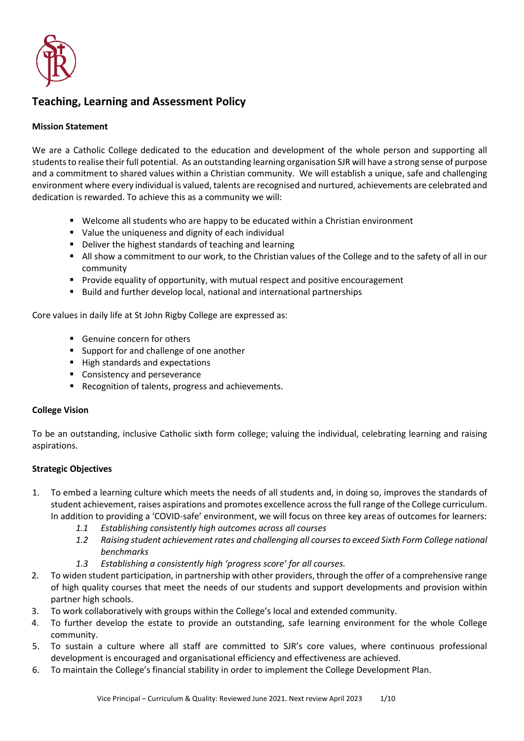

# **Teaching, Learning and Assessment Policy**

### **Mission Statement**

We are a Catholic College dedicated to the education and development of the whole person and supporting all students to realise their full potential. As an outstanding learning organisation SJR will have a strong sense of purpose and a commitment to shared values within a Christian community. We will establish a unique, safe and challenging environment where every individual is valued, talents are recognised and nurtured, achievements are celebrated and dedication is rewarded. To achieve this as a community we will:

- **Welcome all students who are happy to be educated within a Christian environment**
- Value the uniqueness and dignity of each individual
- **•** Deliver the highest standards of teaching and learning
- All show a commitment to our work, to the Christian values of the College and to the safety of all in our community
- **Provide equality of opportunity, with mutual respect and positive encouragement**
- **Build and further develop local, national and international partnerships**

Core values in daily life at St John Rigby College are expressed as:

- Genuine concern for others
- **Support for and challenge of one another**
- High standards and expectations
- **EX Consistency and perseverance**
- Recognition of talents, progress and achievements.

### **College Vision**

To be an outstanding, inclusive Catholic sixth form college; valuing the individual, celebrating learning and raising aspirations.

### **Strategic Objectives**

- 1. To embed a learning culture which meets the needs of all students and, in doing so, improves the standards of student achievement, raises aspirations and promotes excellence across the full range of the College curriculum. In addition to providing a 'COVID-safe' environment, we will focus on three key areas of outcomes for learners:
	- *1.1 Establishing consistently high outcomes across all courses*
	- *1.2 Raising student achievement rates and challenging all courses to exceed Sixth Form College national benchmarks*
	- *1.3 Establishing a consistently high 'progress score' for all courses.*
- 2. To widen student participation, in partnership with other providers, through the offer of a comprehensive range of high quality courses that meet the needs of our students and support developments and provision within partner high schools.
- 3. To work collaboratively with groups within the College's local and extended community.
- 4. To further develop the estate to provide an outstanding, safe learning environment for the whole College community.
- 5. To sustain a culture where all staff are committed to SJR's core values, where continuous professional development is encouraged and organisational efficiency and effectiveness are achieved.
- 6. To maintain the College's financial stability in order to implement the College Development Plan.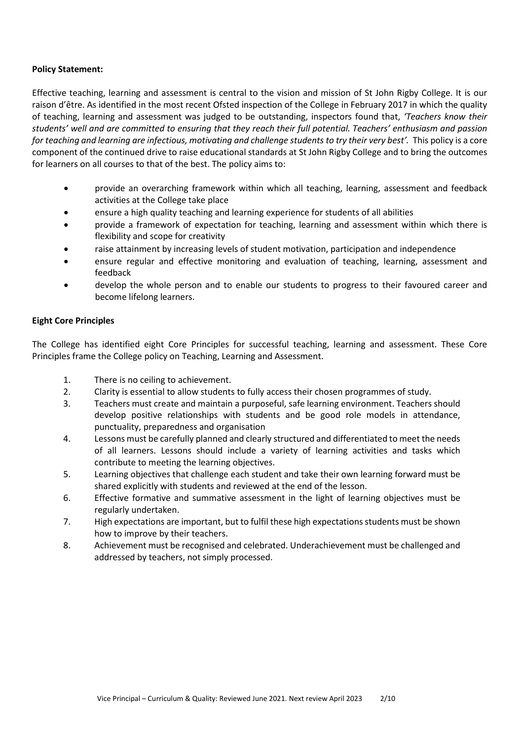### **Policy Statement:**

Effective teaching, learning and assessment is central to the vision and mission of St John Rigby College. It is our raison d'être. As identified in the most recent Ofsted inspection of the College in February 2017 in which the quality of teaching, learning and assessment was judged to be outstanding, inspectors found that, *'Teachers know their students' well and are committed to ensuring that they reach their full potential. Teachers' enthusiasm and passion*  for teaching and learning are infectious, motivating and challenge students to try their very best'. This policy is a core component of the continued drive to raise educational standards at St John Rigby College and to bring the outcomes for learners on all courses to that of the best. The policy aims to:

- provide an overarching framework within which all teaching, learning, assessment and feedback activities at the College take place
- ensure a high quality teaching and learning experience for students of all abilities
- provide a framework of expectation for teaching, learning and assessment within which there is flexibility and scope for creativity
- raise attainment by increasing levels of student motivation, participation and independence
- ensure regular and effective monitoring and evaluation of teaching, learning, assessment and feedback
- develop the whole person and to enable our students to progress to their favoured career and become lifelong learners.

### **Eight Core Principles**

The College has identified eight Core Principles for successful teaching, learning and assessment. These Core Principles frame the College policy on Teaching, Learning and Assessment.

- 1. There is no ceiling to achievement.
- 2. Clarity is essential to allow students to fully access their chosen programmes of study.
- 3. Teachers must create and maintain a purposeful, safe learning environment. Teachers should develop positive relationships with students and be good role models in attendance, punctuality, preparedness and organisation
- 4. Lessons must be carefully planned and clearly structured and differentiated to meet the needs of all learners. Lessons should include a variety of learning activities and tasks which contribute to meeting the learning objectives.
- 5. Learning objectives that challenge each student and take their own learning forward must be shared explicitly with students and reviewed at the end of the lesson.
- 6. Effective formative and summative assessment in the light of learning objectives must be regularly undertaken.
- 7. High expectations are important, but to fulfil these high expectations students must be shown how to improve by their teachers.
- 8. Achievement must be recognised and celebrated. Underachievement must be challenged and addressed by teachers, not simply processed.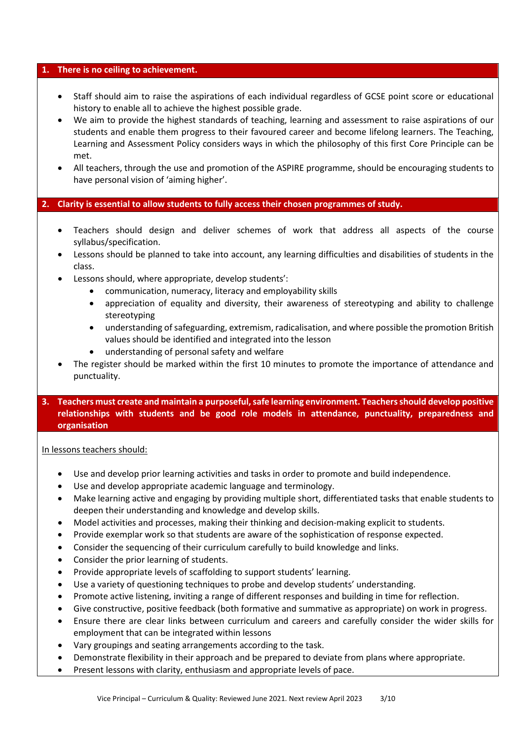#### **1. There is no ceiling to achievement.**

- Staff should aim to raise the aspirations of each individual regardless of GCSE point score or educational history to enable all to achieve the highest possible grade.
- We aim to provide the highest standards of teaching, learning and assessment to raise aspirations of our students and enable them progress to their favoured career and become lifelong learners. The Teaching, Learning and Assessment Policy considers ways in which the philosophy of this first Core Principle can be met.
- All teachers, through the use and promotion of the ASPIRE programme, should be encouraging students to have personal vision of 'aiming higher'.

### **2. Clarity is essential to allow students to fully access their chosen programmes of study.**

- Teachers should design and deliver schemes of work that address all aspects of the course syllabus/specification.
- Lessons should be planned to take into account, any learning difficulties and disabilities of students in the class.
- Lessons should, where appropriate, develop students':
	- communication, numeracy, literacy and employability skills
	- appreciation of equality and diversity, their awareness of stereotyping and ability to challenge stereotyping
	- understanding of safeguarding, extremism, radicalisation, and where possible the promotion British values should be identified and integrated into the lesson
	- understanding of personal safety and welfare
- The register should be marked within the first 10 minutes to promote the importance of attendance and punctuality.

### **3. Teachers must create and maintain a purposeful, safe learning environment. Teachers should develop positive relationships with students and be good role models in attendance, punctuality, preparedness and organisation**

In lessons teachers should:

- Use and develop prior learning activities and tasks in order to promote and build independence.
- Use and develop appropriate academic language and terminology.
- Make learning active and engaging by providing multiple short, differentiated tasks that enable students to deepen their understanding and knowledge and develop skills.
- Model activities and processes, making their thinking and decision-making explicit to students.
- Provide exemplar work so that students are aware of the sophistication of response expected.
- Consider the sequencing of their curriculum carefully to build knowledge and links.
- Consider the prior learning of students.
- Provide appropriate levels of scaffolding to support students' learning.
- Use a variety of questioning techniques to probe and develop students' understanding.
- Promote active listening, inviting a range of different responses and building in time for reflection.
- Give constructive, positive feedback (both formative and summative as appropriate) on work in progress.
- Ensure there are clear links between curriculum and careers and carefully consider the wider skills for employment that can be integrated within lessons
- Vary groupings and seating arrangements according to the task.
- Demonstrate flexibility in their approach and be prepared to deviate from plans where appropriate.
- Present lessons with clarity, enthusiasm and appropriate levels of pace.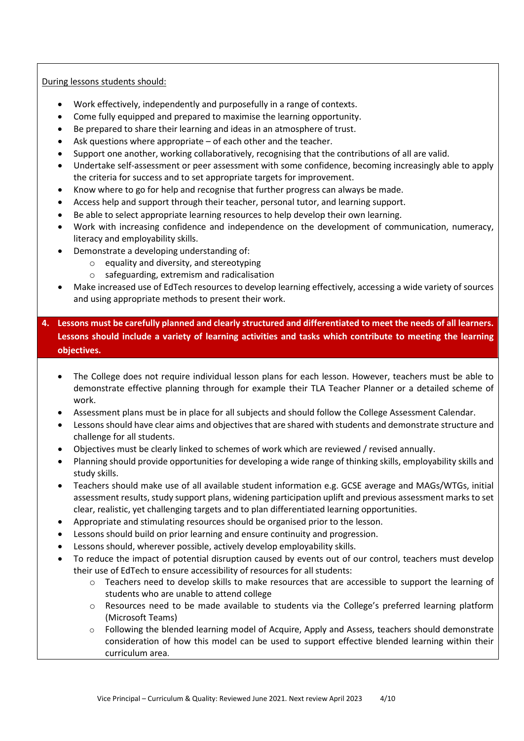### During lessons students should:

- Work effectively, independently and purposefully in a range of contexts.
- Come fully equipped and prepared to maximise the learning opportunity.
- Be prepared to share their learning and ideas in an atmosphere of trust.
- Ask questions where appropriate  $-$  of each other and the teacher.
- Support one another, working collaboratively, recognising that the contributions of all are valid.
- Undertake self-assessment or peer assessment with some confidence, becoming increasingly able to apply the criteria for success and to set appropriate targets for improvement.
- Know where to go for help and recognise that further progress can always be made.
- Access help and support through their teacher, personal tutor, and learning support.
- Be able to select appropriate learning resources to help develop their own learning.
- Work with increasing confidence and independence on the development of communication, numeracy, literacy and employability skills.
- Demonstrate a developing understanding of:
	- o equality and diversity, and stereotyping
	- o safeguarding, extremism and radicalisation
- Make increased use of EdTech resources to develop learning effectively, accessing a wide variety of sources and using appropriate methods to present their work.
- **4. Lessons must be carefully planned and clearly structured and differentiated to meet the needs of all learners. Lessons should include a variety of learning activities and tasks which contribute to meeting the learning objectives.** 
	- The College does not require individual lesson plans for each lesson. However, teachers must be able to demonstrate effective planning through for example their TLA Teacher Planner or a detailed scheme of work.
	- Assessment plans must be in place for all subjects and should follow the College Assessment Calendar.
	- Lessons should have clear aims and objectives that are shared with students and demonstrate structure and challenge for all students.
	- Objectives must be clearly linked to schemes of work which are reviewed / revised annually.
	- Planning should provide opportunities for developing a wide range of thinking skills, employability skills and study skills.
	- Teachers should make use of all available student information e.g. GCSE average and MAGs/WTGs, initial assessment results, study support plans, widening participation uplift and previous assessment marks to set clear, realistic, yet challenging targets and to plan differentiated learning opportunities.
	- Appropriate and stimulating resources should be organised prior to the lesson.
	- Lessons should build on prior learning and ensure continuity and progression.
	- Lessons should, wherever possible, actively develop employability skills.
	- To reduce the impact of potential disruption caused by events out of our control, teachers must develop their use of EdTech to ensure accessibility of resources for all students:
		- o Teachers need to develop skills to make resources that are accessible to support the learning of students who are unable to attend college
		- o Resources need to be made available to students via the College's preferred learning platform (Microsoft Teams)
		- o Following the blended learning model of Acquire, Apply and Assess, teachers should demonstrate consideration of how this model can be used to support effective blended learning within their curriculum area.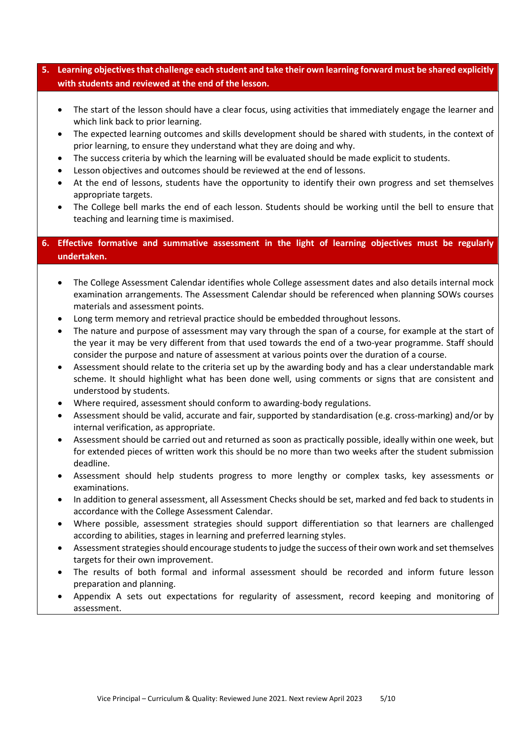# **5. Learning objectives that challenge each student and take their own learning forward must be shared explicitly with students and reviewed at the end of the lesson.**

- The start of the lesson should have a clear focus, using activities that immediately engage the learner and which link back to prior learning.
- The expected learning outcomes and skills development should be shared with students, in the context of prior learning, to ensure they understand what they are doing and why.
- The success criteria by which the learning will be evaluated should be made explicit to students.
- Lesson objectives and outcomes should be reviewed at the end of lessons.
- At the end of lessons, students have the opportunity to identify their own progress and set themselves appropriate targets.
- The College bell marks the end of each lesson. Students should be working until the bell to ensure that teaching and learning time is maximised.

# **6. Effective formative and summative assessment in the light of learning objectives must be regularly undertaken.**

- The College Assessment Calendar identifies whole College assessment dates and also details internal mock examination arrangements. The Assessment Calendar should be referenced when planning SOWs courses materials and assessment points.
- Long term memory and retrieval practice should be embedded throughout lessons.
- The nature and purpose of assessment may vary through the span of a course, for example at the start of the year it may be very different from that used towards the end of a two-year programme. Staff should consider the purpose and nature of assessment at various points over the duration of a course.
- Assessment should relate to the criteria set up by the awarding body and has a clear understandable mark scheme. It should highlight what has been done well, using comments or signs that are consistent and understood by students.
- Where required, assessment should conform to awarding-body regulations.
- Assessment should be valid, accurate and fair, supported by standardisation (e.g. cross-marking) and/or by internal verification, as appropriate.
- Assessment should be carried out and returned as soon as practically possible, ideally within one week, but for extended pieces of written work this should be no more than two weeks after the student submission deadline.
- Assessment should help students progress to more lengthy or complex tasks, key assessments or examinations.
- In addition to general assessment, all Assessment Checks should be set, marked and fed back to students in accordance with the College Assessment Calendar.
- Where possible, assessment strategies should support differentiation so that learners are challenged according to abilities, stages in learning and preferred learning styles.
- Assessment strategies should encourage students to judge the success of their own work and set themselves targets for their own improvement.
- The results of both formal and informal assessment should be recorded and inform future lesson preparation and planning.
- Appendix A sets out expectations for regularity of assessment, record keeping and monitoring of assessment.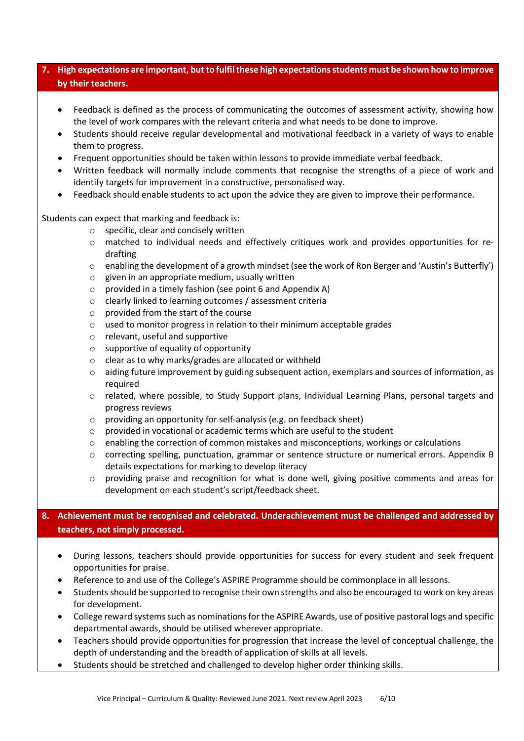# **7. High expectations are important, but to fulfil these high expectations students must be shown how to improve by their teachers.**

- Feedback is defined as the process of communicating the outcomes of assessment activity, showing how the level of work compares with the relevant criteria and what needs to be done to improve.
- Students should receive regular developmental and motivational feedback in a variety of ways to enable them to progress.
- Frequent opportunities should be taken within lessons to provide immediate verbal feedback.
- Written feedback will normally include comments that recognise the strengths of a piece of work and identify targets for improvement in a constructive, personalised way.
- Feedback should enable students to act upon the advice they are given to improve their performance.

Students can expect that marking and feedback is:

- o specific, clear and concisely written
- $\circ$  matched to individual needs and effectively critiques work and provides opportunities for redrafting
- $\circ$  enabling the development of a growth mindset (see the work of Ron Berger and 'Austin's Butterfly')
- o given in an appropriate medium, usually written
- o provided in a timely fashion (see point 6 and Appendix A)
- o clearly linked to learning outcomes / assessment criteria
- o provided from the start of the course
- o used to monitor progress in relation to their minimum acceptable grades
- o relevant, useful and supportive
- o supportive of equality of opportunity
- o clear as to why marks/grades are allocated or withheld
- o aiding future improvement by guiding subsequent action, exemplars and sources of information, as required
- o related, where possible, to Study Support plans, Individual Learning Plans, personal targets and progress reviews
- o providing an opportunity for self-analysis (e.g. on feedback sheet)
- o provided in vocational or academic terms which are useful to the student
- o enabling the correction of common mistakes and misconceptions, workings or calculations
- o correcting spelling, punctuation, grammar or sentence structure or numerical errors. Appendix B details expectations for marking to develop literacy
- $\circ$  providing praise and recognition for what is done well, giving positive comments and areas for development on each student's script/feedback sheet.

# **8. Achievement must be recognised and celebrated. Underachievement must be challenged and addressed by teachers, not simply processed.**

- During lessons, teachers should provide opportunities for success for every student and seek frequent opportunities for praise.
- Reference to and use of the College's ASPIRE Programme should be commonplace in all lessons.
- Students should be supported to recognise their own strengths and also be encouraged to work on key areas for development.
- College reward systems such as nominations for the ASPIRE Awards, use of positive pastoral logs and specific departmental awards, should be utilised wherever appropriate.
- Teachers should provide opportunities for progression that increase the level of conceptual challenge, the depth of understanding and the breadth of application of skills at all levels.
- Students should be stretched and challenged to develop higher order thinking skills.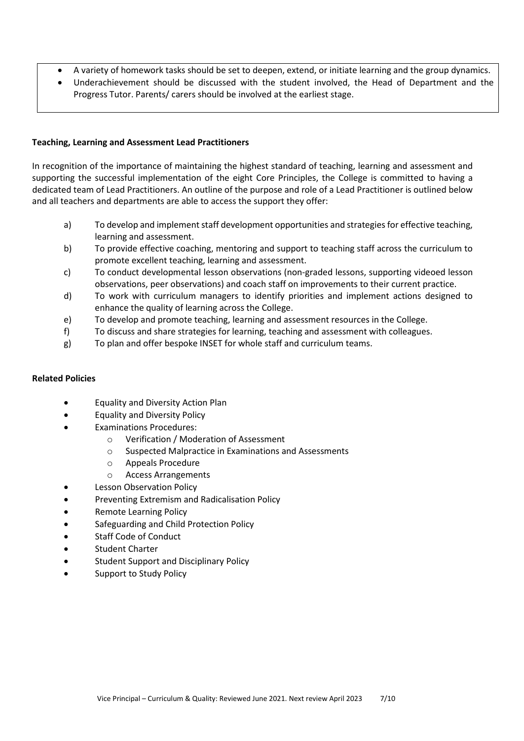- A variety of homework tasks should be set to deepen, extend, or initiate learning and the group dynamics.
- Underachievement should be discussed with the student involved, the Head of Department and the Progress Tutor. Parents/ carers should be involved at the earliest stage.

### **Teaching, Learning and Assessment Lead Practitioners**

In recognition of the importance of maintaining the highest standard of teaching, learning and assessment and supporting the successful implementation of the eight Core Principles, the College is committed to having a dedicated team of Lead Practitioners. An outline of the purpose and role of a Lead Practitioner is outlined below and all teachers and departments are able to access the support they offer:

- a) To develop and implement staff development opportunities and strategies for effective teaching, learning and assessment.
- b) To provide effective coaching, mentoring and support to teaching staff across the curriculum to promote excellent teaching, learning and assessment.
- c) To conduct developmental lesson observations (non-graded lessons, supporting videoed lesson observations, peer observations) and coach staff on improvements to their current practice.
- d) To work with curriculum managers to identify priorities and implement actions designed to enhance the quality of learning across the College.
- e) To develop and promote teaching, learning and assessment resources in the College.
- f) To discuss and share strategies for learning, teaching and assessment with colleagues.
- g) To plan and offer bespoke INSET for whole staff and curriculum teams.

### **Related Policies**

- Equality and Diversity Action Plan
- Equality and Diversity Policy
- Examinations Procedures:
	- o Verification / Moderation of Assessment
	- o Suspected Malpractice in Examinations and Assessments
	- o Appeals Procedure
	- o Access Arrangements
- **Lesson Observation Policy**
- Preventing Extremism and Radicalisation Policy
- Remote Learning Policy
- Safeguarding and Child Protection Policy
- Staff Code of Conduct
- Student Charter
- Student Support and Disciplinary Policy
- Support to Study Policy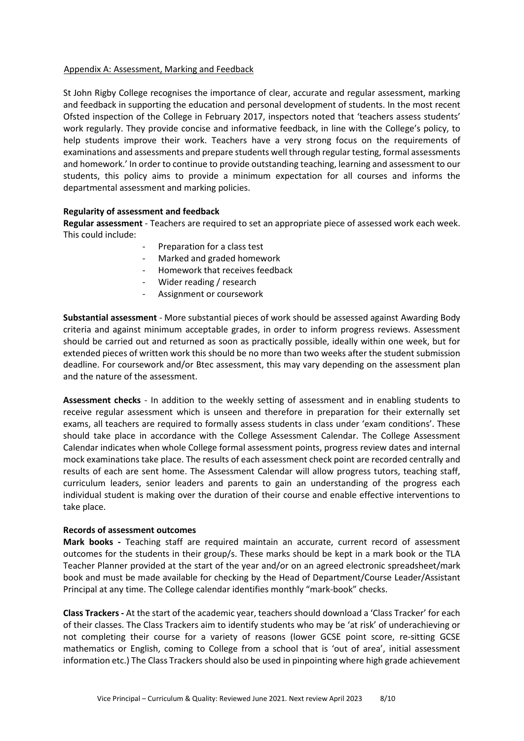### Appendix A: Assessment, Marking and Feedback

St John Rigby College recognises the importance of clear, accurate and regular assessment, marking and feedback in supporting the education and personal development of students. In the most recent Ofsted inspection of the College in February 2017, inspectors noted that 'teachers assess students' work regularly. They provide concise and informative feedback, in line with the College's policy, to help students improve their work. Teachers have a very strong focus on the requirements of examinations and assessments and prepare students well through regular testing, formal assessments and homework.' In order to continue to provide outstanding teaching, learning and assessment to our students, this policy aims to provide a minimum expectation for all courses and informs the departmental assessment and marking policies.

### **Regularity of assessment and feedback**

**Regular assessment** - Teachers are required to set an appropriate piece of assessed work each week. This could include:

- Preparation for a class test
- Marked and graded homework
- Homework that receives feedback
- Wider reading / research
- Assignment or coursework

**Substantial assessment** - More substantial pieces of work should be assessed against Awarding Body criteria and against minimum acceptable grades, in order to inform progress reviews. Assessment should be carried out and returned as soon as practically possible, ideally within one week, but for extended pieces of written work this should be no more than two weeks after the student submission deadline. For coursework and/or Btec assessment, this may vary depending on the assessment plan and the nature of the assessment.

**Assessment checks** - In addition to the weekly setting of assessment and in enabling students to receive regular assessment which is unseen and therefore in preparation for their externally set exams, all teachers are required to formally assess students in class under 'exam conditions'. These should take place in accordance with the College Assessment Calendar. The College Assessment Calendar indicates when whole College formal assessment points, progress review dates and internal mock examinations take place. The results of each assessment check point are recorded centrally and results of each are sent home. The Assessment Calendar will allow progress tutors, teaching staff, curriculum leaders, senior leaders and parents to gain an understanding of the progress each individual student is making over the duration of their course and enable effective interventions to take place.

#### **Records of assessment outcomes**

**Mark books -** Teaching staff are required maintain an accurate, current record of assessment outcomes for the students in their group/s. These marks should be kept in a mark book or the TLA Teacher Planner provided at the start of the year and/or on an agreed electronic spreadsheet/mark book and must be made available for checking by the Head of Department/Course Leader/Assistant Principal at any time. The College calendar identifies monthly "mark-book" checks.

**Class Trackers -** At the start of the academic year, teachers should download a 'Class Tracker' for each of their classes. The Class Trackers aim to identify students who may be 'at risk' of underachieving or not completing their course for a variety of reasons (lower GCSE point score, re-sitting GCSE mathematics or English, coming to College from a school that is 'out of area', initial assessment information etc.) The Class Trackers should also be used in pinpointing where high grade achievement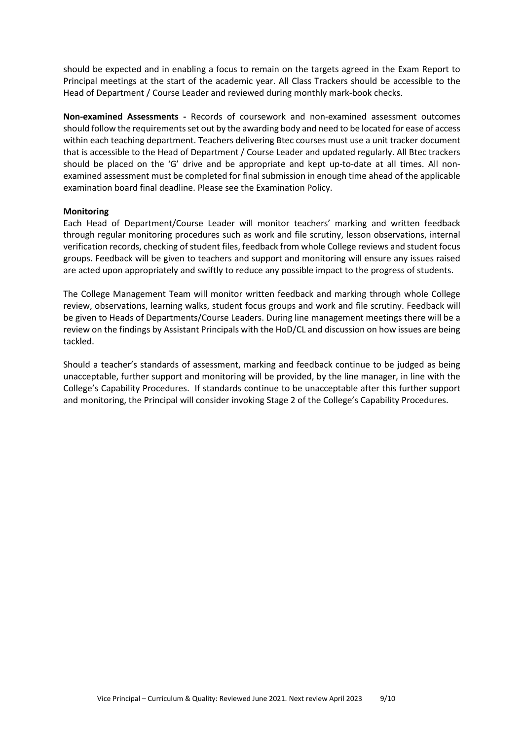should be expected and in enabling a focus to remain on the targets agreed in the Exam Report to Principal meetings at the start of the academic year. All Class Trackers should be accessible to the Head of Department / Course Leader and reviewed during monthly mark-book checks.

**Non-examined Assessments -** Records of coursework and non-examined assessment outcomes should follow the requirements set out by the awarding body and need to be located for ease of access within each teaching department. Teachers delivering Btec courses must use a unit tracker document that is accessible to the Head of Department / Course Leader and updated regularly. All Btec trackers should be placed on the 'G' drive and be appropriate and kept up-to-date at all times. All nonexamined assessment must be completed for final submission in enough time ahead of the applicable examination board final deadline. Please see the Examination Policy.

### **Monitoring**

Each Head of Department/Course Leader will monitor teachers' marking and written feedback through regular monitoring procedures such as work and file scrutiny, lesson observations, internal verification records, checking of student files, feedback from whole College reviews and student focus groups. Feedback will be given to teachers and support and monitoring will ensure any issues raised are acted upon appropriately and swiftly to reduce any possible impact to the progress of students.

The College Management Team will monitor written feedback and marking through whole College review, observations, learning walks, student focus groups and work and file scrutiny. Feedback will be given to Heads of Departments/Course Leaders. During line management meetings there will be a review on the findings by Assistant Principals with the HoD/CL and discussion on how issues are being tackled.

Should a teacher's standards of assessment, marking and feedback continue to be judged as being unacceptable, further support and monitoring will be provided, by the line manager, in line with the College's Capability Procedures. If standards continue to be unacceptable after this further support and monitoring, the Principal will consider invoking Stage 2 of the College's Capability Procedures.